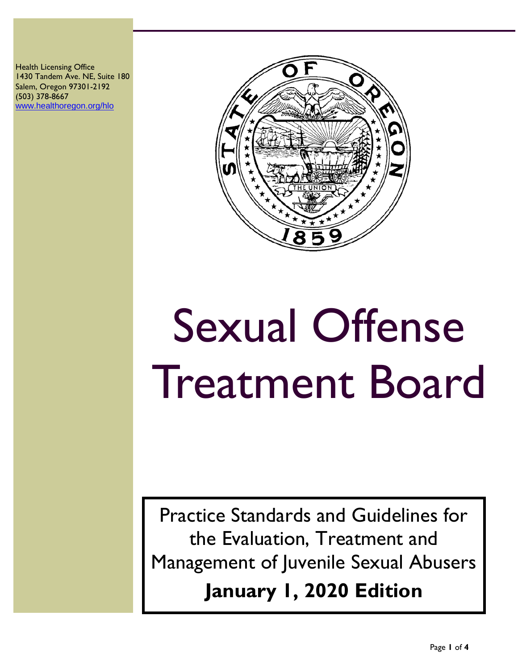Health Licensing Office 1430 Tandem Ave. NE, Suite 180 Salem, Oregon 97301-2192 (503) 378-8667 [www.healthoregon.org/hlo](http://www.healthoregon.org/hlo)



# Sexual Offense Treatment Board

Practice Standards and Guidelines for the Evaluation, Treatment and Management of Juvenile Sexual Abusers **January 1, 2020 Edition**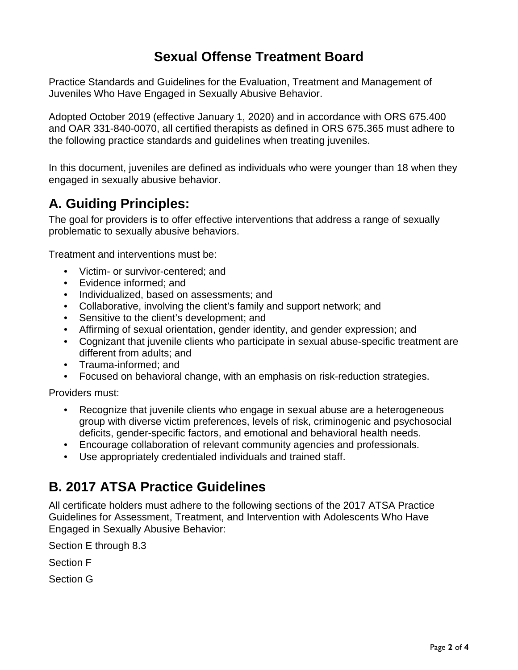# **Sexual Offense Treatment Board**

Practice Standards and Guidelines for the Evaluation, Treatment and Management of Juveniles Who Have Engaged in Sexually Abusive Behavior.

Adopted October 2019 (effective January 1, 2020) and in accordance with ORS 675.400 and OAR 331-840-0070, all certified therapists as defined in ORS 675.365 must adhere to the following practice standards and guidelines when treating juveniles.

In this document, juveniles are defined as individuals who were younger than 18 when they engaged in sexually abusive behavior.

# **A. Guiding Principles:**

The goal for providers is to offer effective interventions that address a range of sexually problematic to sexually abusive behaviors.

Treatment and interventions must be:

- Victim- or survivor-centered; and
- Evidence informed; and
- Individualized, based on assessments; and
- Collaborative, involving the client's family and support network; and
- Sensitive to the client's development; and
- Affirming of sexual orientation, gender identity, and gender expression; and
- Cognizant that juvenile clients who participate in sexual abuse-specific treatment are different from adults; and
- Trauma-informed; and
- Focused on behavioral change, with an emphasis on risk-reduction strategies.

Providers must:

- Recognize that juvenile clients who engage in sexual abuse are a heterogeneous group with diverse victim preferences, levels of risk, criminogenic and psychosocial deficits, gender-specific factors, and emotional and behavioral health needs.
- Encourage collaboration of relevant community agencies and professionals.
- Use appropriately credentialed individuals and trained staff.

## **B. 2017 ATSA Practice Guidelines**

All certificate holders must adhere to the following sections of the 2017 ATSA Practice Guidelines for Assessment, Treatment, and Intervention with Adolescents Who Have Engaged in Sexually Abusive Behavior:

Section E through 8.3

Section F

Section G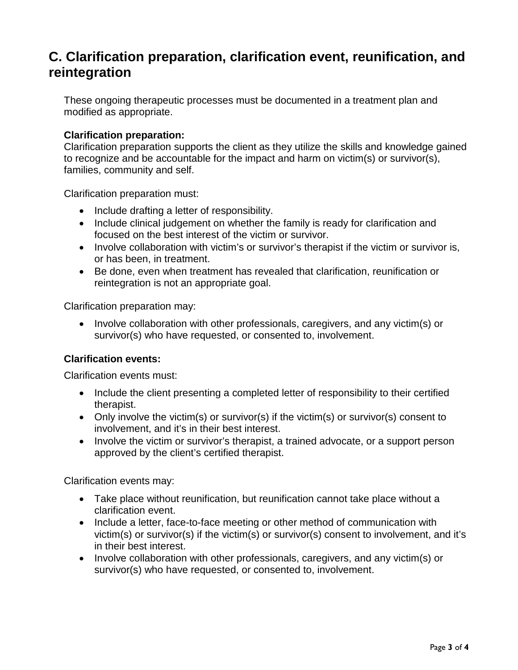## **C. Clarification preparation, clarification event, reunification, and reintegration**

These ongoing therapeutic processes must be documented in a treatment plan and modified as appropriate.

#### **Clarification preparation:**

Clarification preparation supports the client as they utilize the skills and knowledge gained to recognize and be accountable for the impact and harm on victim(s) or survivor(s), families, community and self.

Clarification preparation must:

- Include drafting a letter of responsibility.
- Include clinical judgement on whether the family is ready for clarification and focused on the best interest of the victim or survivor.
- Involve collaboration with victim's or survivor's therapist if the victim or survivor is, or has been, in treatment.
- Be done, even when treatment has revealed that clarification, reunification or reintegration is not an appropriate goal.

Clarification preparation may:

• Involve collaboration with other professionals, caregivers, and any victim(s) or survivor(s) who have requested, or consented to, involvement.

#### **Clarification events:**

Clarification events must:

- Include the client presenting a completed letter of responsibility to their certified therapist.
- Only involve the victim(s) or survivor(s) if the victim(s) or survivor(s) consent to involvement, and it's in their best interest.
- Involve the victim or survivor's therapist, a trained advocate, or a support person approved by the client's certified therapist.

Clarification events may:

- Take place without reunification, but reunification cannot take place without a clarification event.
- Include a letter, face-to-face meeting or other method of communication with victim(s) or survivor(s) if the victim(s) or survivor(s) consent to involvement, and it's in their best interest.
- Involve collaboration with other professionals, caregivers, and any victim(s) or survivor(s) who have requested, or consented to, involvement.